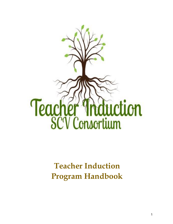

# **Teacher Induction Program Handbook**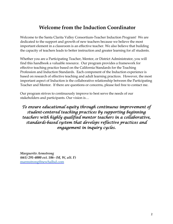# **Welcome from the Induction Coordinator**

Welcome to the Santa Clarita Valley Consortium-Teacher Induction Program! We are dedicated to the support and growth of new teachers because we believe the most important element in a classroom is an effective teacher. We also believe that building the capacity of teachers leads to better instruction and greater learning for *all* students.

Whether you are a Participating Teacher, Mentor, or District Administrator, you will find this handbook a valuable resource. Our program provides a framework for effective teaching practice based on the California Standards for the Teaching Profession and Induction Standards. Each component of the Induction experience is based on research of effective teaching and adult learning practices. However, the most important aspect of Induction is the collaborative relationship between the Participating Teacher and Mentor. If there are questions or concerns, please feel free to contact me.

Our program strives to continuously improve to best serve the needs of our stakeholders and participants. Our vision is…

# *To ensure educational equity through continuous improvement of student-centered teaching practices by supporting beginning teachers with highly qualified mentor teachers in a collaborative, standards-based system that develops reflective practices and engagement in inquiry cycles.*

*Marguerite Armstrong (661) 291-4000 ext. 106- (M, W, alt. F)* [marmstrong@newhallsd.com](mailto:marmstrong@newhallsd.com)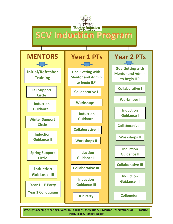

**Weekly Coaching Meetings, Veteran Teacher Observation, 3 Mentor Observations of PT Practice-Plan, Teach, Reflect, Apply**

1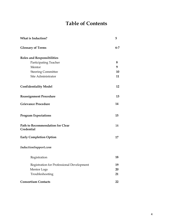# **Table of Contents**

| <b>What is Induction?</b>                      | 5       |
|------------------------------------------------|---------|
| <b>Glossary of Terms</b>                       | $6 - 7$ |
| <b>Roles and Responsibilities</b>              |         |
| Participating Teacher                          | 8       |
| Mentor                                         | 9       |
| <b>Steering Committee</b>                      | 10      |
| Site Administrator                             | 11      |
| <b>Confidentiality Model</b>                   | 12      |
| <b>Reassignment Procedure</b>                  | 13      |
| <b>Grievance Procedure</b>                     | 14      |
| <b>Program Expectations</b>                    | 15      |
| Path to Recommendation for Clear<br>Credential | 16      |
| <b>Early Completion Option</b>                 | 17      |
| InductionSupport.com                           |         |
| Registration                                   | 18      |
| Registration for Professional Development      | 19      |
| Mentor Logs                                    | 20      |
| Troubleshooting                                | 21      |
| <b>Consortium Contacts</b>                     | 22      |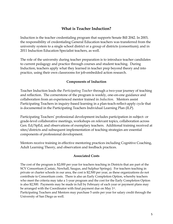### **What is Teacher Induction?**

Induction is the teacher credentialing program that supports Senate Bill 2042. In 2003, the responsibility of credentialing General Education teachers was transferred from the university system to a single school district or a group of districts (consortium); and in 2011 Induction Education Specialist teachers, as well.

The role of the university during teacher preparation is to introduce teacher candidates to current pedagogy and practice through courses and student teaching. During Induction, teachers apply what they learned in teacher prep beyond theory and into practice, using their own classrooms for job-embedded action research.

### **Components of Induction**

Teacher Induction leads the *Participating Teacher* through a two-year journey of teaching and reflection. The cornerstone of the program is weekly, one-on-one guidance and collaboration from an experienced mentor trained in *Induction*. Mentors assist Participating Teachers in inquiry-based learning in a plan-teach-reflect-apply cycle that is documented in the Participating Teachers Individual Learning Plan (ILP).

Participating Teachers' professional development includes participation in subject- or grade-level collaborative meetings, workshops on relevant topics, collaboration across Gen. Ed/SpEd, and observations of exemplary teachers. Additional training received at sites/districts and subsequent implementation of teaching strategies are essential components of professional development.

Mentors receive training in effective mentoring practices including Cognitive Coaching, Adult Learning Theory, and observation and feedback practices.

### **Associated Costs**

The cost of the program is \$2,000 per year for teachers teaching in Districts that are part of the SCV Consortium (Castaic, Newhall, Saugus, and Sulphur Springs). For teachers teaching in private or charter schools in our area, the cost is \$2,500 per year, as these organizations do not contribute to Consortium costs. There is also an Early Completion Option, whereby teachers who meet the criteria may take a 1-year program and the cost for the Early Completion Option is also \$2,500. Payments may be made in full by February of each year or payment plans may be arranged with the Coordinator with final payment due on May 1st.

Participating Teachers and Mentors may purchase 5 units per year for salary credit through the University of San Diego as well.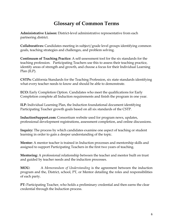# **Glossary of Common Terms**

**Administrative Liaison:** District-level administrative representative from each partnering district.

**Collaboratives:** Candidates meeting in subject/grade level groups identifying common goals, teaching strategies and challenges, and problem solving.

**Continuum of Teaching Practice:** A self-assessment tool for the six standards for the teaching profession. Participating Teachers use this to assess their teaching practice, identify areas of strength and growth, and choose a focus for their Individual Learning Plan (ILP).

**CSTPs:** California Standards for the Teaching Profession, six state standards identifying what every teacher needs to know and should be able to demonstrate.

**ECO:** Early Completion Option. Candidates who meet the qualifications for Early Completion complete all Induction requirements and finish the program in one year.

**ILP:** Individual Learning Plan, the Induction foundational document identifying Participating Teacher growth goals based on all six standards of the CSTP.

**InductionSupport.com:** Consortium website used for program news, updates, professional development registrations, assessment completion, and online discussions.

**Inquiry:** The process by which candidates examine one aspect of teaching or student learning in order to gain a deeper understanding of the topic.

**Mentor:** A mentor teacher is trained in Induction processes and mentorship skills and assigned to support Participating Teachers in the first two years of teaching.

**Mentoring:** A professional relationship between the teacher and mentor built on trust and guided by teacher needs and the induction processes.

**MOU:** A *Memorandum of Understanding* is the agreement between the induction program and the, District, school, PT, or Mentor detailing the roles and responsibilities of each party.

PT: Participating Teacher, who holds a preliminary credential and then earns the clear credential through the Induction process.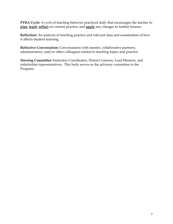**PTRA Cycle:** A cycle of teaching behavior practiced daily that encourages the teacher to **plan**, **teach**, **reflect** on current practice, and **apply** any changes to further lessons.

**Reflection:** An analysis of teaching practice and relevant data and examination of how it affects student learning.

**Reflective Conversation:** Conversations with mentor, collaborative partners, administrators, and/or other colleagues related to teaching topics and practice.

**Steering Committee:** Induction Coordinator, District Liaisons, Lead Mentors, and stakeholder representatives. This body serves as the advisory committee to the Program.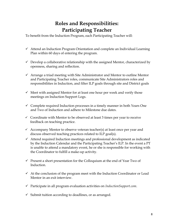# **Roles and Responsibilities: Participating Teacher**

To benefit from the Induction Program, each Participating Teacher will:

- $\checkmark$  Attend an Induction Program Orientation and complete an Individual Learning Plan within 60 days of entering the program.
- $\checkmark$  Develop a collaborative relationship with the assigned Mentor, characterized by openness, sharing and reflection.
- $\checkmark$  Arrange a triad meeting with Site Administrator and Mentor to outline Mentor and Participating Teacher roles, communicate Site Administrators roles and responsibilities in Induction, and filter ILP goals through site and District goals
- $\checkmark$  Meet with assigned Mentor for at least one hour per week and verify those meetings on Induction Support Logs.
- $\checkmark$  Complete required Induction processes in a timely manner in both Years One and Two of Induction and adhere to Milestone due dates.
- $\checkmark$  Coordinate with Mentor to be observed at least 3 times per year to receive feedback on teaching practice.
- $\checkmark$  Accompany Mentor to observe veteran teacher(s) at least once per year and discuss observed teaching practices related to ILP goal(s).
- $\checkmark$  Attend required Induction meetings and professional development as indicated by the Induction Calendar and the Participating Teacher's ILP. In the event a PT is unable to attend a mandatory event, he or she is responsible for working with the Coordinator to fulfill a make-up activity.
- $\checkmark$  Present a short presentation for the Colloquium at the end of Year Two of Induction.
- $\checkmark$  At the conclusion of the program meet with the Induction Coordinator or Lead Mentor in an exit interview.
- Participate in all program evaluation activities on *InductionSupport.com*.
- $\checkmark$  Submit tuition according to deadlines, or as arranged.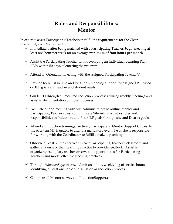# **Roles and Responsibilities: Mentor**

In order to assist Participating Teachers in fulfilling requirements for the Clear Credential, each Mentor will:

- $\checkmark$  Immediately after being matched with a Participating Teacher, begin meeting at least one hour per week for an average **minimum of four hours per month**.
- $\checkmark$  Assist the Participating Teacher with developing an Individual Learning Plan (ILP) within 60 days of entering the program.
- $\checkmark$  Attend an Orientation meeting with the assigned Participating Teacher(s)
- $\checkmark$  Provide both just in time and long-term planning support for assigned PT, based on ILP goals and teacher and student needs.
- $\checkmark$  Guide PTs through all required Induction processes during weekly meetings and assist in documentation of those processes.
- $\checkmark$  Facilitate a triad meeting with Site Administrators to outline Mentor and Participating Teacher roles, communicate Site Administrators roles and responsibilities in Induction, and filter ILP goals through site and District goals.
- $\checkmark$  Attend all Induction trainings. Actively participate in Mentor Support Circles. In the event an MT is unable to attend a mandatory event, he or she is responsible for working with the Coordinator to fulfill a make-up activity.
- $\checkmark$  Observe at least 3 times per year in each Participating Teacher's classroom and gather evidence of their teaching practice to provide feedback. Assist in organizing exemplary teacher observation opportunities for Participating Teachers and model effective teaching practices.
- Through *InductionSupport.com*, submit an online, weekly log of service hours, identifying at least one topic of discussion or Induction process.
- $\checkmark$  Complete all Mentor surveys on InductionSupport.com.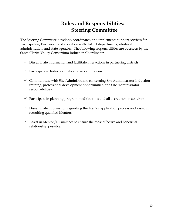# **Roles and Responsibilities: Steering Committee**

The Steering Committee develops, coordinates, and implements support services for Participating Teachers in collaboration with district departments, site-level administration, and state agencies. The following responsibilities are overseen by the Santa Clarita Valley Consortium Induction Coordinator:

- $\checkmark$  Disseminate information and facilitate interactions in partnering districts.
- $\checkmark$  Participate in Induction data analysis and review.
- $\checkmark$  Communicate with Site Administrators concerning Site Administrator Induction training, professional development opportunities, and Site Administrator responsibilities.
- $\checkmark$  Participate in planning program modifications and all accreditation activities.
- $\checkmark$  Disseminate information regarding the Mentor application process and assist in recruiting qualified Mentors.
- $\checkmark$  Assist in Mentor/PT matches to ensure the most effective and beneficial relationship possible.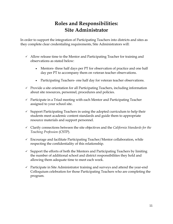# **Roles and Responsibilities: Site Administrator**

In order to support the integration of Participating Teachers into districts and sites as they complete clear credentialing requirements, Site Administrators will:

- $\checkmark$  Allow release time to the Mentor and Participating Teacher for training and observations as stated below:
	- Mentors- three half days per PT for observation of practice and one half day per PT to accompany them on veteran teacher observations.
	- Participating Teachers- one half day for veteran teacher observations.
- $\checkmark$  Provide a site orientation for all Participating Teachers, including information about site resources, personnel, procedures and policies.
- $\checkmark$  Participate in a Triad meeting with each Mentor and Participating Teacher assigned to your school site.
- $\checkmark$  Support Participating Teachers in using the adopted curriculum to help their students meet academic content standards and guide them to appropriate resource materials and support personnel.
- Clarify connections between the site objectives and the *California Standards for the Teaching Profession* (CSTP).
- $\checkmark$  Encourage and facilitate Participating Teacher/Mentor collaboration, while respecting the confidentiality of this relationship.
- $\checkmark$  Support the efforts of both the Mentors and Participating Teachers by limiting the number of additional school and district responsibilities they hold and allowing them adequate time to meet each week.
- $\checkmark$  Participate in Site Administrator training and surveys and attend the year-end Colloquium celebration for those Participating Teachers who are completing the program.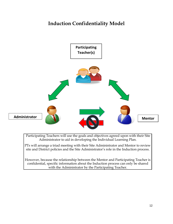# **Induction Confidentiality Model**



Participating Teachers will use the goals and objectives agreed upon with their Site Administrator to aid in developing the Individual Learning Plan.

PTs will arrange a triad meeting with their Site Administrator and Mentor to review site and District policies and the Site Administrator's role in the Induction process.

However, because the relationship between the Mentor and Participating Teacher is confidential, specific information about the Induction process can only be shared with the Administrator by the Participating Teacher.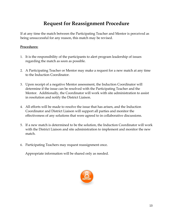# **Request for Reassignment Procedure**

If at any time the match between the Participating Teacher and Mentor is perceived as being unsuccessful for any reason, this match may be revised.

### **Procedures:**

- 1. It is the responsibility of the participants to alert program leadership of issues regarding the match as soon as possible.
- 2. A Participating Teacher or Mentor may make a request for a new match at any time to the Induction Coordinator.
- 3. Upon receipt of a negative Mentor assessment, the Induction Coordinator will determine if the issue can be resolved with the Participating Teacher and the Mentor. Additionally, the Coordinator will work with site administration to assist in resolution and notify the District Liaison.
- 4. All efforts will be made to resolve the issue that has arisen, and the Induction Coordinator and District Liaison will support all parties and monitor the effectiveness of any solutions that were agreed to in collaborative discussions.
- 5. If a new match is determined to be the solution, the Induction Coordinator will work with the District Liaison and site administration to implement and monitor the new match.
- 6. Participating Teachers may request reassignment once.

Appropriate information will be shared only as needed.

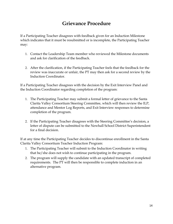# **Grievance Procedure**

If a Participating Teacher disagrees with feedback given for an Induction Milestone which indicates that it must be resubmitted or is incomplete, the Participating Teacher may:

- 1. Contact the Leadership Team member who reviewed the Milestone documents and ask for clarification of the feedback.
- 2. After the clarification, if the Participating Teacher feels that the feedback for the review was inaccurate or unfair, the PT may then ask for a second review by the Induction Coordinator.

If a Participating Teacher disagrees with the decision by the Exit Interview Panel and the Induction Coordinator regarding completion of the program:

- 1. The Participating Teacher may submit a formal letter of grievance to the Santa Clarita Valley Consortium Steering Committee, which will then review the ILP, attendance and Mentor Log Reports, and Exit Interview responses to determine completion of the program.
- 2. If the Participating Teacher disagrees with the Steering Committee's decision, a letter of dispute can be submitted to the Newhall School District Superintendent for a final decision.

If at any time the Participating Teacher decides to discontinue enrollment in the Santa Clarita Valley Consortium Teacher Induction Program:

- 1. The Participating Teacher will submit to the Induction Coordinator in writing that he/she does not wish to continue participating in the program.
- 2. The program will supply the candidate with an updated transcript of completed requirements. The PT will then be responsible to complete induction in an alternative program.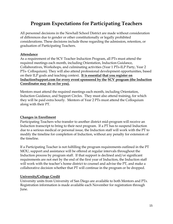# **Program Expectations for Participating Teachers**

All personnel decisions in the Newhall School District are made without consideration of differences due to gender or other constitutionally or legally prohibited considerations. These decisions include those regarding the admission, retention, or graduation of Participating Teachers.

### **Attendance**

As a requirement of the SCV Teacher Induction Program, all PTs must attend the required meetings each month, including Orientation, Induction Guidance, Collaboratives, Workshops, and culminating activities (Year 1 PTs-ILP Party, Year 2 PTs- Colloquium). They will also attend professional development opportunities, based on their ILP goals and teaching context. **It is essential that you register on InductionSupport.com for every event sponsored by the SCV program (the Induction Coordinator may do so for you).**

Mentors must attend the required meetings each month, including Orientation, Induction Guidance, and Support Circles. They must also attend training, for which they will be paid extra hourly. Mentors of Year 2 PTs must attend the Colloquium along with their PT.

### **Changes in Enrollment**

Participating Teachers who transfer to another district mid-program will receive an Induction transcript to bring to their next program. If a PT has to suspend Induction due to a serious medical or personal issue, the Induction staff will work with the PT to modify the timeline for completion of Induction, without any penalty for extension of the timeline.

If a Participating Teacher is not fulfilling the program requirements outlined in the PT MOU, support and assistance will be offered at regular intervals throughout the Induction process by program staff. If that support is declined and/or significant requirements are not met by the end of the first year of Induction, the Induction staff will work with the teacher's home district to counsel and advise the PT, and make a collaborative decision whether that PT will continue in the program or be dropped.

### **University/College Credit**

University units from University of San Diego are available to both Mentors and PTs. Registration information is made available each November for registration through June.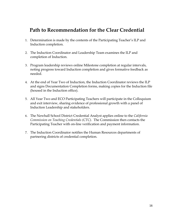# **Path to Recommendation for the Clear Credential**

- 1. Determination is made by the contents of the Participating Teacher's ILP and Induction completion.
- 2. The Induction Coordinator and Leadership Team examines the ILP and completion of Induction.
- 3. Program leadership reviews online Milestone completion at regular intervals, noting progress toward Induction completion and gives formative feedback as needed.
- 4. At the end of Year Two of Induction, the Induction Coordinator reviews the ILP and signs Documentation Completion forms, making copies for the Induction file (housed in the Induction office).
- 5. All Year Two and ECO Participating Teachers will participate in the Colloquium and exit interview, sharing evidence of professional growth with a panel of Induction Leadership and stakeholders.
- 6. The Newhall School District Credential Analyst applies online to the *California Commission on Teaching Credentials (CTC)*. The Commission then contacts the Participating Teacher with on-line verification and payment information.
- 7. The Induction Coordinator notifies the Human Resources departments of partnering districts of credential completion.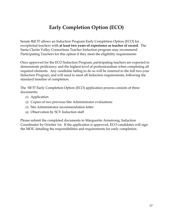# **Early Completion Option (ECO)**

Senate Bill 57 allows an Induction Program Early Completion Option (ECO) for exceptional teachers with **at least two years of experience as teacher of record**. The Santa Clarita Valley Consortium Teacher Induction program may recommend Participating Teachers for this option if they meet the eligibility requirements.

Once approved for the ECO Induction Program, participating teachers are expected to demonstrate proficiency and the highest level of professionalism when completing all required elements. Any candidate failing to do so will be restored to the full two-year Induction Program, and will need to meet all Induction requirements, following the standard timeline of completion.

The SB 57 Early Completion Option (ECO) application process consists of three documents:

- (1) Application
- (2) Copies of two previous Site Administrator evaluations
- (3) Site Administrator recommendation letter
- (4) Observation by SCV Induction staff

Please submit the completed documents to Marguerite Armstrong, Induction Coordinator by October 1st. If the application is approved, ECO candidates will sign the MOU detailing the responsibilities and requirements for early completion.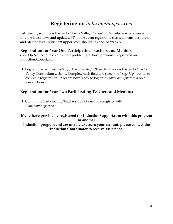# **Registering on** *InductionSupport.com*

*InductionSupport.com* is the Santa Clarita Valley Consortium's website where you will find the latest news and updates, PT online event registrations, assessments, resources and Mentor logs. InductionSupport.com should be checked **weekly.**

## **Registration for Year One Participating Teachers and Mentors:**

(You **Do Not** need to create a new profile if you have previously registered on InductionSupport.com)

1. Log on to *www.InductionSupport.com/register/8298a4.cfm* to access the Santa Clarita Valley Consortium website. Complete each field and select the "Sign Up" button to complete registration. You are now ready to log onto *InductionSupport.com* on a weekly basis!

## **Registration for Year Two Participating Teachers and Mentors:**

1. Continuing Participating Teachers **do not** need to reregister with *InductionSupport.com*.

### **If you have previously registered for InductionSupport.com with this program or another**

### **Induction program and are unable to access your account, please contact the Induction Coordinator to receive assistance.**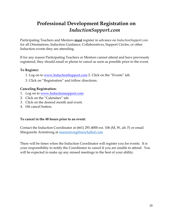# **Professional Development Registration on**  *InductionSupport.com*

Participating Teachers and Mentors **must** register in advance on *InductionSupport.com* for all Orientations, Induction Guidance, Collaboratives, Support Circles, or other Induction events they are attending.

If for any reason Participating Teachers or Mentors cannot attend and have previously registered, they should email or phone to cancel as soon as possible prior to the event.

### **To Register:**

- 1. Log on to [www.InductionSupport.com](http://www.btsasupport.com/) [2](http://www.btsasupport.com/). Click on the "Events" tab.
- 3. Click on "Registration" and follow directions.

### **Canceling Registration:**

- 1. Log on to [www.Inductionsupport.com](http://www.inductionsupport.com/)
- 2. Click on the "Calendars" tab.
- 3. Click on the desired month and event.
- 4. Hit cancel button.

### **To cancel in the 48 hours prior to an event:**

Contact the Induction Coordinator at (661) 291-4000 ext. 106 (M, W, alt. F) or email Marguerite Armstrong at [marmstrong@newhallsd.com](mailto:marmstrong@newhallsd.com)

There will be times when the Induction Coordinator will register you for events. It is your responsibility to notify the Coordinator to cancel if you are unable to attend. You will be expected to make up any missed meetings to the best of your ability.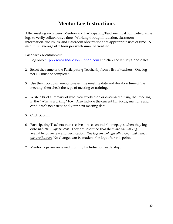# **Mentor Log Instructions**

After meeting each week, Mentors and Participating Teachers must complete on-line logs to verify collaborative time. Working through Induction, classroom information, site issues, and classroom observations are appropriate uses of time. **A minimum average of 1 hour per week must be verified.** 

Each week Mentors will:

- 1. Log onto [http://www.InductionSupport.com](http://www.btsasupport.com/) [a](http://www.btsasupport.com/)nd click the tab My Candidates.
- 2. Select the name of the Participating Teacher(s) from a list of teachers. One log per PT must be completed.
- 3. Use the drop down menu to select the meeting date and duration time of the meeting, then check the type of meeting or training.
- 4. Write a brief summary of what you worked on or discussed during that meeting in the "What's working" box. Also include the current ILP focus, mentor's and candidate's next steps and your next meeting date.
- 5. Click Submit.
- 6. Participating Teachers then receive notices on their homepages when they log onto *InductionSupport.com*. They are informed that there are *Mentor Logs* available for review and verification. *The logs are not officially recognized without this verification*. No changes can be made to the logs after this point.
- 7. Mentor Logs are reviewed monthly by Induction leadership.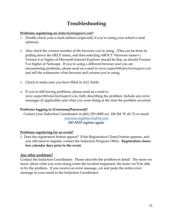# **Troubleshooting**

### **Problems registering on** *InductionSupport.com***?**

- 1. Double-check your e-mail address (especially if you're using your school e-mail address).
- 2. Also check the version number of the browser you're using. (This can be done by pulling down the HELP menu, and then selecting ABOUT <br/>browser name>.) Version 4 or higher of Microsoft Internet Explorer should be fine, as should Version 5 or higher of Netscape. If you're using a different browser and you are encountering problems, please send an e-mail to *www.support@InductionSupport.com* and tell the webmaster what browser and version you're using.
- 3. Check to make sure you have filled in ALL fields.
- 4. If you're still having problems, please send an e-mail to *www.support@InductionSupport.com*, fully describing the problem. Include any error messages (if applicable) and what you were doing at the time the problem occurred.

### **Problems logging in (Username/Password)?**

Contact your Induction Coordinator at (661) 291-4000 ext. 106 (M, W alt. F) or email:

[marmstrong@newhallsd.com](mailto:marmstrong@newhallsd.com) *DO NOT register again.*

### **Problems registering for an event?**

1. Does the registration button appear? If the Registration Closed button appears, and you still need to register, contact the Induction Program Office. **Registration closes two calendar days prior to the event.**

### **Any other problems?**

Contact the Induction Coordinator. Please describe the problem in detail. The more we know about what you were doing when the incident happened, the faster we'll be able to fix the problem. If you receive an error message, cut and paste the entire error message in your email to the Induction Coordinator.